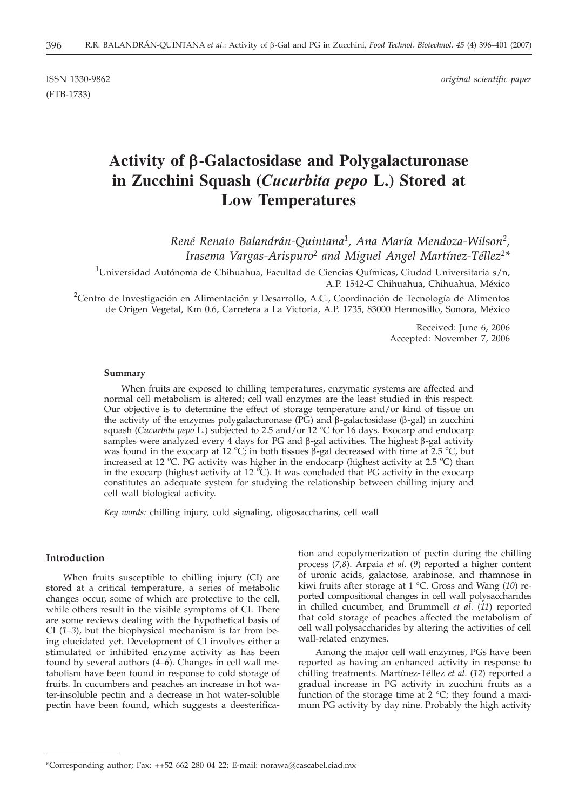(FTB-1733)

ISSN 1330-9862 *original scientific paper*

# **Activity of b-Galactosidase and Polygalacturonase in Zucchini Squash (***Cucurbita pepo* **L.) Stored at Low Temperatures**

*René Renato Balandrán-Quintana1, Ana María Mendoza-Wilson2, Irasema Vargas-Arispuro2 and Miguel Angel Martínez-Téllez2\**

 $^1$ Universidad Autónoma de Chihuahua, Facultad de Ciencias Químicas, Ciudad Universitaria s/n, A.P. 1542-C Chihuahua, Chihuahua, México

<sup>2</sup>Centro de Investigación en Alimentación y Desarrollo, A.C., Coordinación de Tecnología de Alimentos de Origen Vegetal, Km 0.6, Carretera a La Victoria, A.P. 1735, 83000 Hermosillo, Sonora, México

> Received: June 6, 2006 Accepted: November 7, 2006

#### **Summary**

When fruits are exposed to chilling temperatures, enzymatic systems are affected and normal cell metabolism is altered; cell wall enzymes are the least studied in this respect. Our objective is to determine the effect of storage temperature and/or kind of tissue on the activity of the enzymes polygalacturonase ( $\overline{PG}$ ) and  $\beta$ -galactosidase ( $\beta$ -gal) in zucchini squash (*Cucurbita pepo* L.) subjected to 2.5 and/or 12 °C for 16 days. Exocarp and endocarp samples were analyzed every 4 days for PG and  $\beta$ -gal activities. The highest  $\beta$ -gal activity was found in the exocarp at 12 °C; in both tissues  $\beta$ -gal decreased with time at 2.5 °C, but increased at 12 °C. PG activity was higher in the endocarp (highest activity at 2.5 °C) than in the exocarp (highest activity at 12  $^{\circ}$ C). It was concluded that PG activity in the exocarp constitutes an adequate system for studying the relationship between chilling injury and cell wall biological activity.

*Key words:* chilling injury, cold signaling, oligosaccharins, cell wall

## **Introduction**

When fruits susceptible to chilling injury (CI) are stored at a critical temperature, a series of metabolic changes occur, some of which are protective to the cell, while others result in the visible symptoms of CI. There are some reviews dealing with the hypothetical basis of CI (*1–3*), but the biophysical mechanism is far from being elucidated yet. Development of CI involves either a stimulated or inhibited enzyme activity as has been found by several authors (*4–6*). Changes in cell wall metabolism have been found in response to cold storage of fruits. In cucumbers and peaches an increase in hot water-insoluble pectin and a decrease in hot water-soluble pectin have been found, which suggests a deesterification and copolymerization of pectin during the chilling process (*7,8*). Arpaia *et al*. (*9*) reported a higher content of uronic acids, galactose, arabinose, and rhamnose in kiwi fruits after storage at 1 °C. Gross and Wang (*10*) reported compositional changes in cell wall polysaccharides in chilled cucumber, and Brummell *et al*. (*11*) reported that cold storage of peaches affected the metabolism of cell wall polysaccharides by altering the activities of cell wall-related enzymes.

Among the major cell wall enzymes, PGs have been reported as having an enhanced activity in response to chilling treatments. Martínez-Téllez *et al*. (*12*) reported a gradual increase in PG activity in zucchini fruits as a function of the storage time at  $2 \text{ }^{\circ}$ C; they found a maximum PG activity by day nine. Probably the high activity

<sup>\*</sup>Corresponding author; Fax: ++52 662 280 04 22; E-mail: norawa@cascabel.ciad.mx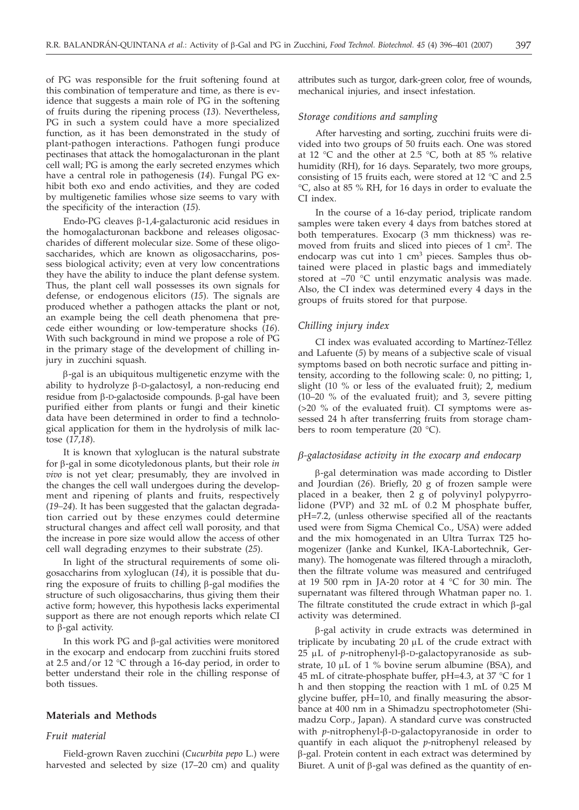of PG was responsible for the fruit softening found at this combination of temperature and time, as there is evidence that suggests a main role of PG in the softening of fruits during the ripening process (*13*). Nevertheless, PG in such a system could have a more specialized function, as it has been demonstrated in the study of plant-pathogen interactions. Pathogen fungi produce pectinases that attack the homogalacturonan in the plant cell wall; PG is among the early secreted enzymes which have a central role in pathogenesis (*14*). Fungal PG exhibit both exo and endo activities, and they are coded by multigenetic families whose size seems to vary with the specificity of the interaction (*15*).

Endo-PG cleaves  $\beta$ -1,4-galacturonic acid residues in the homogalacturonan backbone and releases oligosaccharides of different molecular size. Some of these oligosaccharides, which are known as oligosaccharins, possess biological activity; even at very low concentrations they have the ability to induce the plant defense system. Thus, the plant cell wall possesses its own signals for defense, or endogenous elicitors (*15*). The signals are produced whether a pathogen attacks the plant or not, an example being the cell death phenomena that precede either wounding or low-temperature shocks (*16*). With such background in mind we propose a role of PG in the primary stage of the development of chilling injury in zucchini squash.

 $\beta$ -gal is an ubiquitous multigenetic enzyme with the ability to hydrolyze b*-*D-galactosyl, a non-reducing end residue from  $\beta$ -D-galactoside compounds.  $\beta$ -gal have been purified either from plants or fungi and their kinetic data have been determined in order to find a technological application for them in the hydrolysis of milk lactose (*17,18*).

It is known that xyloglucan is the natural substrate for b-gal in some dicotyledonous plants, but their role *in vivo* is not yet clear; presumably, they are involved in the changes the cell wall undergoes during the development and ripening of plants and fruits, respectively (*19–24*). It has been suggested that the galactan degradation carried out by these enzymes could determine structural changes and affect cell wall porosity, and that the increase in pore size would allow the access of other cell wall degrading enzymes to their substrate (*25*).

In light of the structural requirements of some oligosaccharins from xyloglucan (*14*), it is possible that during the exposure of fruits to chilling  $\beta$ -gal modifies the structure of such oligosaccharins, thus giving them their active form; however, this hypothesis lacks experimental support as there are not enough reports which relate CI to  $\beta$ -gal activity.

In this work PG and  $\beta$ -gal activities were monitored in the exocarp and endocarp from zucchini fruits stored at 2.5 and/or 12 °C through a 16-day period, in order to better understand their role in the chilling response of both tissues.

## **Materials and Methods**

#### *Fruit material*

Field-grown Raven zucchini (*Cucurbita pepo* L.) were harvested and selected by size (17–20 cm) and quality attributes such as turgor, dark-green color, free of wounds, mechanical injuries, and insect infestation.

### *Storage conditions and sampling*

After harvesting and sorting, zucchini fruits were divided into two groups of 50 fruits each. One was stored at 12 °C and the other at 2.5 °C, both at 85 % relative humidity (RH), for 16 days. Separately, two more groups, consisting of 15 fruits each, were stored at 12 °C and 2.5 °C, also at 85 % RH, for 16 days in order to evaluate the CI index.

In the course of a 16-day period, triplicate random samples were taken every 4 days from batches stored at both temperatures. Exocarp (3 mm thickness) was removed from fruits and sliced into pieces of 1 cm2. The endocarp was cut into 1 cm<sup>3</sup> pieces. Samples thus obtained were placed in plastic bags and immediately stored at –70 °C until enzymatic analysis was made. Also, the CI index was determined every 4 days in the groups of fruits stored for that purpose.

## *Chilling injury index*

CI index was evaluated according to Martínez-Téllez and Lafuente (*5*) by means of a subjective scale of visual symptoms based on both necrotic surface and pitting intensity, according to the following scale: 0, no pitting; 1, slight (10 % or less of the evaluated fruit); 2, medium (10–20 % of the evaluated fruit); and 3, severe pitting (>20 % of the evaluated fruit). CI symptoms were assessed 24 h after transferring fruits from storage chambers to room temperature (20 °C).

#### *b-galactosidase activity in the exocarp and endocarp*

b-gal determination was made according to Distler and Jourdian (*26*). Briefly, 20 g of frozen sample were placed in a beaker, then 2 g of polyvinyl polypyrrolidone (PVP) and 32 mL of 0.2 M phosphate buffer, pH=7.2, (unless otherwise specified all of the reactants used were from Sigma Chemical Co., USA) were added and the mix homogenated in an Ultra Turrax T25 homogenizer (Janke and Kunkel, IKA-Labortechnik, Germany). The homogenate was filtered through a miracloth, then the filtrate volume was measured and centrifuged at 19 500 rpm in JA-20 rotor at 4 °C for 30 min. The supernatant was filtered through Whatman paper no. 1. The filtrate constituted the crude extract in which  $\beta$ -gal activity was determined.

b-gal activity in crude extracts was determined in triplicate by incubating  $20 \mu L$  of the crude extract with 25 μL of *p*-nitrophenyl-β-D-galactopyranoside as substrate, 10  $\mu$ L of 1 % bovine serum albumine (BSA), and 45 mL of citrate-phosphate buffer, pH=4.3, at 37 °C for 1 h and then stopping the reaction with 1 mL of 0.25 M glycine buffer, pH=10, and finally measuring the absorbance at 400 nm in a Shimadzu spectrophotometer (Shimadzu Corp., Japan). A standard curve was constructed with *p*-nitrophenyl-β-D-galactopyranoside in order to quantify in each aliquot the *p*-nitrophenyl released by b-gal. Protein content in each extract was determined by Biuret. A unit of  $\beta$ -gal was defined as the quantity of en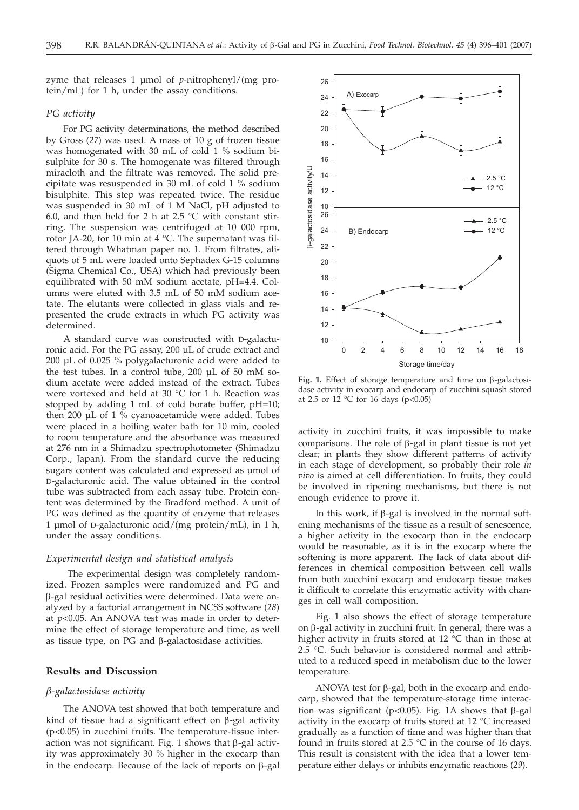zyme that releases 1 µmol of *p*-nitrophenyl/(mg protein/mL) for 1 h, under the assay conditions.

## *PG activity*

For PG activity determinations, the method described by Gross (*27*) was used. A mass of 10 g of frozen tissue was homogenated with 30 mL of cold 1 % sodium bisulphite for 30 s. The homogenate was filtered through miracloth and the filtrate was removed. The solid precipitate was resuspended in 30 mL of cold 1 % sodium bisulphite. This step was repeated twice. The residue was suspended in 30 mL of 1 M NaCl, pH adjusted to 6.0, and then held for 2 h at 2.5  $\degree$ C with constant stirring. The suspension was centrifuged at 10 000 rpm, rotor JA-20, for 10 min at 4 °C. The supernatant was filtered through Whatman paper no. 1. From filtrates, aliquots of 5 mL were loaded onto Sephadex G-15 columns (Sigma Chemical Co., USA) which had previously been equilibrated with 50 mM sodium acetate, pH=4.4. Columns were eluted with 3.5 mL of 50 mM sodium acetate. The elutants were collected in glass vials and represented the crude extracts in which PG activity was determined.

A standard curve was constructed with D-galacturonic acid. For the PG assay, 200 µL of crude extract and 200 µL of 0.025 % polygalacturonic acid were added to the test tubes. In a control tube, 200 µL of 50 mM sodium acetate were added instead of the extract. Tubes were vortexed and held at 30 °C for 1 h. Reaction was stopped by adding 1 mL of cold borate buffer, pH=10; then 200 µL of 1 % cyanoacetamide were added. Tubes were placed in a boiling water bath for 10 min, cooled to room temperature and the absorbance was measured at 276 nm in a Shimadzu spectrophotometer (Shimadzu Corp., Japan). From the standard curve the reducing sugars content was calculated and expressed as µmol of D-galacturonic acid. The value obtained in the control tube was subtracted from each assay tube. Protein content was determined by the Bradford method. A unit of PG was defined as the quantity of enzyme that releases 1 µmol of D-galacturonic acid/(mg protein/mL), in 1 h, under the assay conditions.

# *Experimental design and statistical analysis*

The experimental design was completely randomized. Frozen samples were randomized and PG and b-gal residual activities were determined. Data were analyzed by a factorial arrangement in NCSS software (*28*) at p<0.05. An ANOVA test was made in order to determine the effect of storage temperature and time, as well as tissue type, on  $PG$  and  $\beta$ -galactosidase activities.

## **Results and Discussion**

## *b-galactosidase activity*

The ANOVA test showed that both temperature and kind of tissue had a significant effect on  $\beta$ -gal activity  $(p<0.05)$  in zucchini fruits. The temperature-tissue interaction was not significant. Fig. 1 shows that  $\beta$ -gal activity was approximately 30 % higher in the exocarp than in the endocarp. Because of the lack of reports on  $\beta$ -gal



Fig. 1. Effect of storage temperature and time on  $\beta$ -galactosidase activity in exocarp and endocarp of zucchini squash stored at 2.5 or 12  $\degree$ C for 16 days (p<0.05)

activity in zucchini fruits, it was impossible to make comparisons. The role of  $\beta$ -gal in plant tissue is not yet clear; in plants they show different patterns of activity in each stage of development, so probably their role *in vivo* is aimed at cell differentiation. In fruits, they could be involved in ripening mechanisms, but there is not enough evidence to prove it.

In this work, if  $\beta$ -gal is involved in the normal softening mechanisms of the tissue as a result of senescence, a higher activity in the exocarp than in the endocarp would be reasonable, as it is in the exocarp where the softening is more apparent. The lack of data about differences in chemical composition between cell walls from both zucchini exocarp and endocarp tissue makes it difficult to correlate this enzymatic activity with changes in cell wall composition.

Fig. 1 also shows the effect of storage temperature on  $\beta$ -gal activity in zucchini fruit. In general, there was a higher activity in fruits stored at 12 °C than in those at 2.5 °C. Such behavior is considered normal and attributed to a reduced speed in metabolism due to the lower temperature.

ANOVA test for  $\beta$ -gal, both in the exocarp and endocarp, showed that the temperature-storage time interaction was significant (p<0.05). Fig. 1A shows that  $\beta$ -gal activity in the exocarp of fruits stored at 12 °C increased gradually as a function of time and was higher than that found in fruits stored at 2.5 °C in the course of 16 days. This result is consistent with the idea that a lower temperature either delays or inhibits enzymatic reactions (*29*).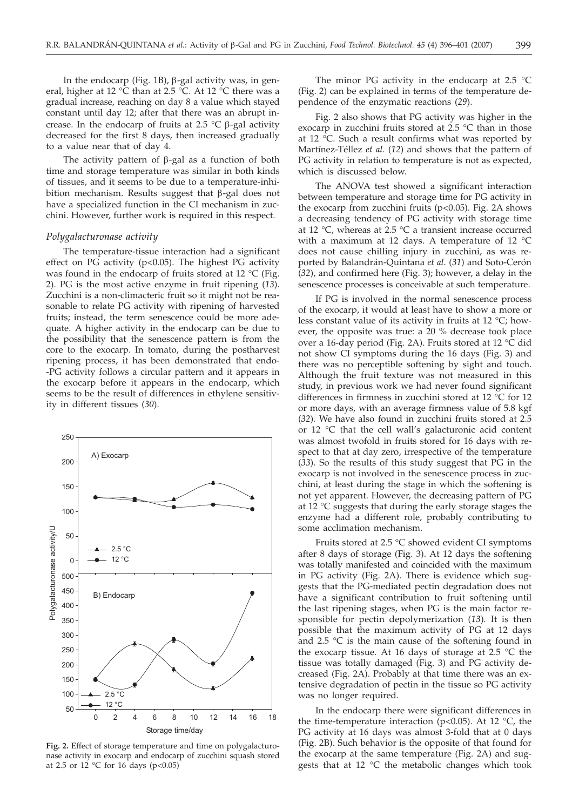In the endocarp (Fig. 1B),  $\beta$ -gal activity was, in general, higher at 12 °C than at 2.5 °C. At 12 °C there was a gradual increase, reaching on day 8 a value which stayed constant until day 12; after that there was an abrupt increase. In the endocarp of fruits at 2.5  $\degree$ C  $\beta$ -gal activity decreased for the first 8 days, then increased gradually to a value near that of day 4.

The activity pattern of  $\beta$ -gal as a function of both time and storage temperature was similar in both kinds of tissues, and it seems to be due to a temperature-inhibition mechanism. Results suggest that  $\beta$ -gal does not have a specialized function in the CI mechanism in zucchini. However, further work is required in this respect.

#### *Polygalacturonase activity*

The temperature-tissue interaction had a significant effect on  $\overline{PG}$  activity (p<0.05). The highest  $\overline{PG}$  activity was found in the endocarp of fruits stored at 12 °C (Fig. 2). PG is the most active enzyme in fruit ripening (*13*). Zucchini is a non-climacteric fruit so it might not be reasonable to relate PG activity with ripening of harvested fruits; instead, the term senescence could be more adequate. A higher activity in the endocarp can be due to the possibility that the senescence pattern is from the core to the exocarp. In tomato, during the postharvest ripening process, it has been demonstrated that endo- -PG activity follows a circular pattern and it appears in the exocarp before it appears in the endocarp, which seems to be the result of differences in ethylene sensitivity in different tissues (*30*).



**Fig. 2.** Effect of storage temperature and time on polygalacturonase activity in exocarp and endocarp of zucchini squash stored at 2.5 or  $12 \text{ °C}$  for  $16 \text{ days}$  (p<0.05)

The minor PG activity in the endocarp at 2.5  $^{\circ}$ C (Fig. 2) can be explained in terms of the temperature dependence of the enzymatic reactions (*29*).

Fig. 2 also shows that PG activity was higher in the exocarp in zucchini fruits stored at 2.5 °C than in those at 12 °C. Such a result confirms what was reported by Martínez-Téllez *et al*. (*12*) and shows that the pattern of PG activity in relation to temperature is not as expected, which is discussed below.

The ANOVA test showed a significant interaction between temperature and storage time for PG activity in the exocarp from zucchini fruits ( $p<0.05$ ). Fig. 2A shows a decreasing tendency of PG activity with storage time at 12 °C, whereas at 2.5 °C a transient increase occurred with a maximum at 12 days. A temperature of 12 °C does not cause chilling injury in zucchini, as was reported by Balandrán-Quintana *et al*. (*31*) and Soto-Cerón (*32*), and confirmed here (Fig. 3); however, a delay in the senescence processes is conceivable at such temperature.

If PG is involved in the normal senescence process of the exocarp, it would at least have to show a more or less constant value of its activity in fruits at 12 °C; however, the opposite was true: a 20 % decrease took place over a 16-day period (Fig. 2A). Fruits stored at 12 °C did not show CI symptoms during the 16 days (Fig. 3) and there was no perceptible softening by sight and touch. Although the fruit texture was not measured in this study, in previous work we had never found significant differences in firmness in zucchini stored at 12 °C for 12 or more days, with an average firmness value of 5.8 kgf (*32*)*.* We have also found in zucchini fruits stored at 2.5 or 12 °C that the cell wall's galacturonic acid content was almost twofold in fruits stored for 16 days with respect to that at day zero, irrespective of the temperature (*33*). So the results of this study suggest that PG in the exocarp is not involved in the senescence process in zucchini, at least during the stage in which the softening is not yet apparent. However, the decreasing pattern of PG at 12 °C suggests that during the early storage stages the enzyme had a different role, probably contributing to some acclimation mechanism.

Fruits stored at 2.5 °C showed evident CI symptoms after 8 days of storage (Fig. 3). At 12 days the softening was totally manifested and coincided with the maximum in PG activity (Fig. 2A). There is evidence which suggests that the PG-mediated pectin degradation does not have a significant contribution to fruit softening until the last ripening stages, when PG is the main factor responsible for pectin depolymerization (*13*)*.* It is then possible that the maximum activity of PG at 12 days and 2.5 °C is the main cause of the softening found in the exocarp tissue. At 16 days of storage at 2.5  $\degree$ C the tissue was totally damaged (Fig. 3) and PG activity decreased (Fig. 2A). Probably at that time there was an extensive degradation of pectin in the tissue so PG activity was no longer required.

In the endocarp there were significant differences in the time-temperature interaction (p<0.05). At 12  $^{\circ}$ C, the PG activity at 16 days was almost 3-fold that at 0 days (Fig. 2B). Such behavior is the opposite of that found for the exocarp at the same temperature (Fig. 2A) and suggests that at 12 °C the metabolic changes which took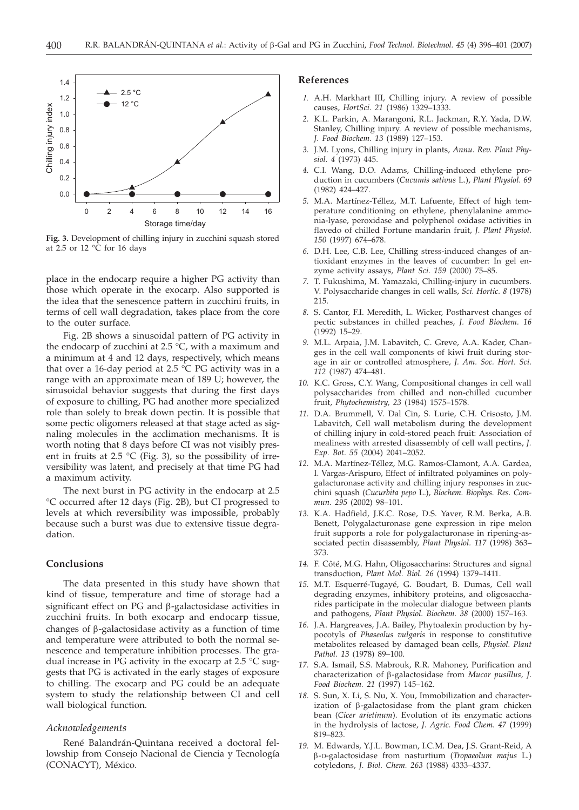

**Fig. 3.** Development of chilling injury in zucchini squash stored at 2.5 or 12 °C for 16 days

place in the endocarp require a higher PG activity than those which operate in the exocarp. Also supported is the idea that the senescence pattern in zucchini fruits, in terms of cell wall degradation, takes place from the core to the outer surface.

Fig. 2B shows a sinusoidal pattern of PG activity in the endocarp of zucchini at 2.5 °C, with a maximum and a minimum at 4 and 12 days, respectively, which means that over a 16-day period at 2.5  $\degree$ C PG activity was in a range with an approximate mean of 189 U; however, the sinusoidal behavior suggests that during the first days of exposure to chilling, PG had another more specialized role than solely to break down pectin. It is possible that some pectic oligomers released at that stage acted as signaling molecules in the acclimation mechanisms. It is worth noting that 8 days before CI was not visibly present in fruits at 2.5  $\degree$ C (Fig. 3), so the possibility of irreversibility was latent, and precisely at that time PG had a maximum activity.

The next burst in PG activity in the endocarp at 2.5 °C occurred after 12 days (Fig. 2B), but CI progressed to levels at which reversibility was impossible, probably because such a burst was due to extensive tissue degradation.

# **Conclusions**

The data presented in this study have shown that kind of tissue, temperature and time of storage had a significant effect on  $PG$  and  $\beta$ -galactosidase activities in zucchini fruits. In both exocarp and endocarp tissue, changes of b-galactosidase activity as a function of time and temperature were attributed to both the normal senescence and temperature inhibition processes. The gradual increase in PG activity in the exocarp at 2.5 °C suggests that PG is activated in the early stages of exposure to chilling. The exocarp and PG could be an adequate system to study the relationship between CI and cell wall biological function.

## *Acknowledgements*

René Balandrán-Quintana received a doctoral fellowship from Consejo Nacional de Ciencia y Tecnología (CONACYT), México.

## **References**

- *1.* A.H. Markhart III, Chilling injury. A review of possible causes, *HortSci. 21* (1986) 1329–1333.
- *2.* K.L. Parkin, A. Marangoni, R.L. Jackman, R.Y. Yada, D.W. Stanley, Chilling injury. A review of possible mechanisms, *J. Food Biochem. 13* (1989) 127–153.
- *3.* J.M. Lyons, Chilling injury in plants, *Annu. Rev. Plant Physiol. 4* (1973) 445.
- *4.* C.I. Wang, D.O. Adams, Chilling-induced ethylene production in cucumbers (*Cucumis sativus* L.), *Plant Physiol. 69* (1982) 424–427.
- *5.* M.A. Martínez-Téllez, M.T. Lafuente, Effect of high temperature conditioning on ethylene, phenylalanine ammonia-lyase, peroxidase and polyphenol oxidase activities in flavedo of chilled Fortune mandarin fruit, *J. Plant Physiol. 150* (1997) 674–678.
- *6.* D.H. Lee, C.B. Lee, Chilling stress-induced changes of antioxidant enzymes in the leaves of cucumber: In gel enzyme activity assays, *Plant Sci. 159* (2000) 75–85.
- *7.* T. Fukushima, M. Yamazaki, Chilling-injury in cucumbers. V. Polysaccharide changes in cell walls, *Sci. Hortic. 8* (1978) 215.
- *8.* S. Cantor, F.I. Meredith, L. Wicker, Postharvest changes of pectic substances in chilled peaches, *J. Food Biochem. 16* (1992) 15–29.
- *9.* M.L. Arpaia, J.M. Labavitch, C. Greve, A.A. Kader, Changes in the cell wall components of kiwi fruit during storage in air or controlled atmosphere, *J. Am. Soc. Hort. Sci. 112* (1987) 474–481.
- *10.* K.C. Gross, C.Y. Wang, Compositional changes in cell wall polysaccharides from chilled and non-chilled cucumber fruit, *Phytochemistry, 23* (1984) 1575–1578.
- *11.* D.A. Brummell, V. Dal Cin, S. Lurie, C.H. Crisosto, J.M. Labavitch, Cell wall metabolism during the development of chilling injury in cold-stored peach fruit: Association of mealiness with arrested disassembly of cell wall pectins, *J. Exp. Bot. 55* (2004) 2041–2052.
- *12.* M.A. Martínez-Téllez, M.G. Ramos-Clamont, A.A. Gardea, I. Vargas-Arispuro, Effect of infiltrated polyamines on polygalacturonase activity and chilling injury responses in zucchini squash (*Cucurbita pepo* L.), *Biochem. Biophys. Res. Commun. 295* (2002) 98–101.
- *13.* K.A. Hadfield, J.K.C. Rose, D.S. Yaver, R.M. Berka, A.B. Benett, Polygalacturonase gene expression in ripe melon fruit supports a role for polygalacturonase in ripening-associated pectin disassembly, *Plant Physiol. 117* (1998) 363– 373.
- *14.* F. Côté, M.G. Hahn, Oligosaccharins: Structures and signal transduction, *Plant Mol. Biol. 26* (1994) 1379–1411.
- *15.* M.T. Esquerré-Tugayé, G. Boudart, B. Dumas, Cell wall degrading enzymes, inhibitory proteins, and oligosaccharides participate in the molecular dialogue between plants and pathogens, *Plant Physiol. Biochem. 38* (2000) 157–163.
- *16.* J.A. Hargreaves, J.A. Bailey, Phytoalexin production by hypocotyls of *Phaseolus vulgaris* in response to constitutive metabolites released by damaged bean cells, *Physiol. Plant Pathol. 13* (1978) 89–100.
- *17.* S.A. Ismail, S.S. Mabrouk, R.R. Mahoney, Purification and characterization of b-galactosidase from *Mucor pusillus, J. Food Biochem. 21* (1997) 145–162.
- *18.* S. Sun, X. Li, S. Nu, X. You, Immobilization and characterization of  $\beta$ -galactosidase from the plant gram chicken bean (*Cicer arietinum*). Evolution of its enzymatic actions in the hydrolysis of lactose, *J. Agric. Food Chem. 47* (1999) 819–823.
- *19.* M. Edwards, Y.J.L. Bowman, I.C.M. Dea, J.S. Grant-Reid, A b-D-galactosidase from nasturtium (*Tropaeolum majus* L.) cotyledons, *J. Biol. Chem. 263* (1988) 4333–4337.